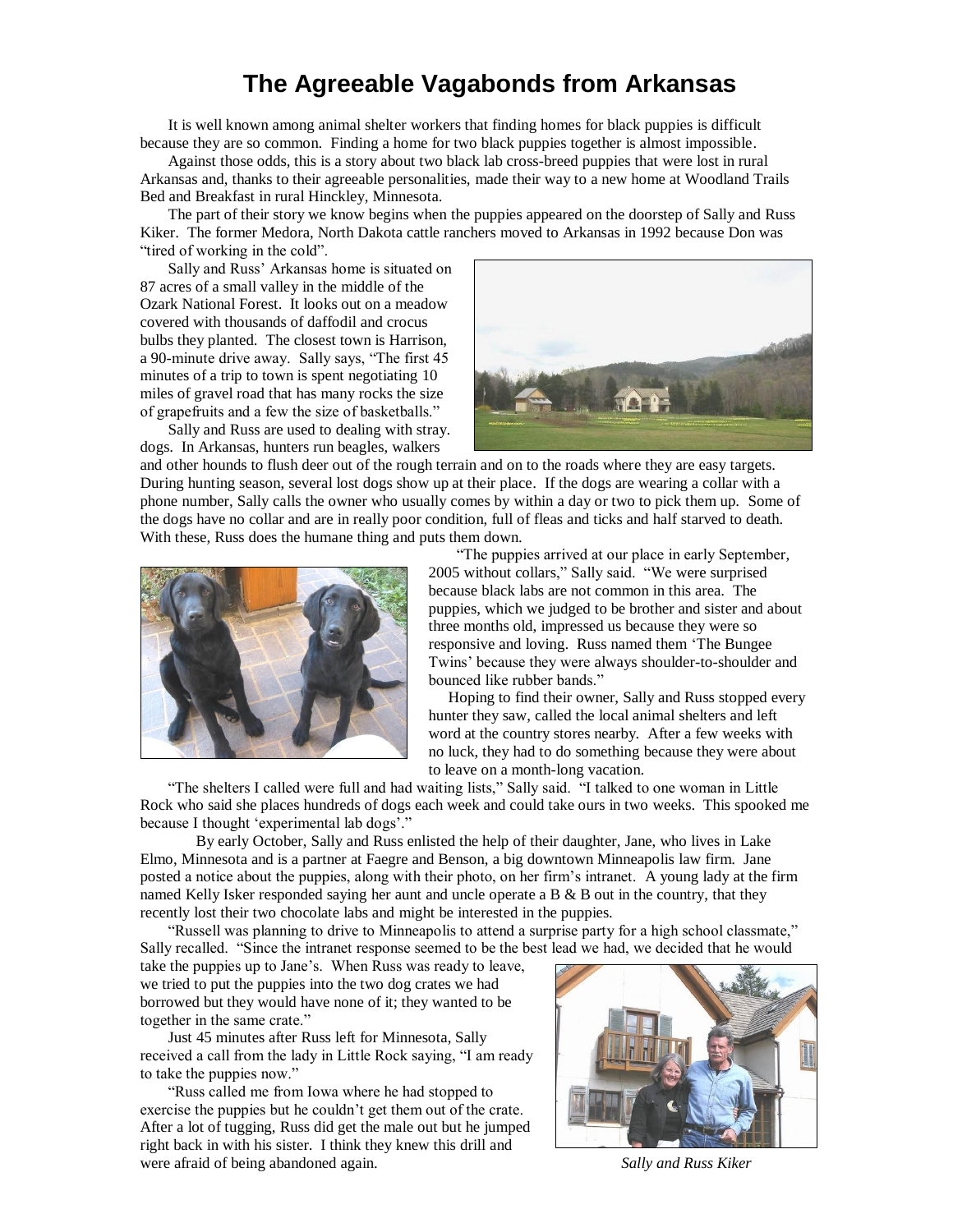## **The Agreeable Vagabonds from Arkansas**

It is well known among animal shelter workers that finding homes for black puppies is difficult because they are so common. Finding a home for two black puppies together is almost impossible.

Against those odds, this is a story about two black lab cross-breed puppies that were lost in rural Arkansas and, thanks to their agreeable personalities, made their way to a new home at Woodland Trails Bed and Breakfast in rural Hinckley, Minnesota.

The part of their story we know begins when the puppies appeared on the doorstep of Sally and Russ Kiker. The former Medora, North Dakota cattle ranchers moved to Arkansas in 1992 because Don was "tired of working in the cold".

Sally and Russ' Arkansas home is situated on 87 acres of a small valley in the middle of the Ozark National Forest. It looks out on a meadow covered with thousands of daffodil and crocus bulbs they planted. The closest town is Harrison, a 90-minute drive away. Sally says, "The first 45 minutes of a trip to town is spent negotiating 10 miles of gravel road that has many rocks the size of grapefruits and a few the size of basketballs."

Sally and Russ are used to dealing with stray. dogs. In Arkansas, hunters run beagles, walkers



and other hounds to flush deer out of the rough terrain and on to the roads where they are easy targets. During hunting season, several lost dogs show up at their place. If the dogs are wearing a collar with a phone number, Sally calls the owner who usually comes by within a day or two to pick them up. Some of the dogs have no collar and are in really poor condition, full of fleas and ticks and half starved to death. With these, Russ does the humane thing and puts them down.



"The puppies arrived at our place in early September, 2005 without collars," Sally said. "We were surprised because black labs are not common in this area. The puppies, which we judged to be brother and sister and about three months old, impressed us because they were so responsive and loving. Russ named them 'The Bungee Twins' because they were always shoulder-to-shoulder and bounced like rubber bands."

Hoping to find their owner, Sally and Russ stopped every hunter they saw, called the local animal shelters and left word at the country stores nearby. After a few weeks with no luck, they had to do something because they were about to leave on a month-long vacation.

"The shelters I called were full and had waiting lists," Sally said. "I talked to one woman in Little Rock who said she places hundreds of dogs each week and could take ours in two weeks. This spooked me because I thought 'experimental lab dogs'."

By early October, Sally and Russ enlisted the help of their daughter, Jane, who lives in Lake Elmo, Minnesota and is a partner at Faegre and Benson, a big downtown Minneapolis law firm. Jane posted a notice about the puppies, along with their photo, on her firm's intranet. A young lady at the firm named Kelly Isker responded saying her aunt and uncle operate a B  $\&$  B out in the country, that they recently lost their two chocolate labs and might be interested in the puppies.

"Russell was planning to drive to Minneapolis to attend a surprise party for a high school classmate," Sally recalled. "Since the intranet response seemed to be the best lead we had, we decided that he would

take the puppies up to Jane's. When Russ was ready to leave, we tried to put the puppies into the two dog crates we had borrowed but they would have none of it; they wanted to be together in the same crate."

Just 45 minutes after Russ left for Minnesota, Sally received a call from the lady in Little Rock saying, "I am ready to take the puppies now."

"Russ called me from Iowa where he had stopped to exercise the puppies but he couldn't get them out of the crate. After a lot of tugging, Russ did get the male out but he jumped right back in with his sister. I think they knew this drill and were afraid of being abandoned again. *Sally and Russ Kiker*